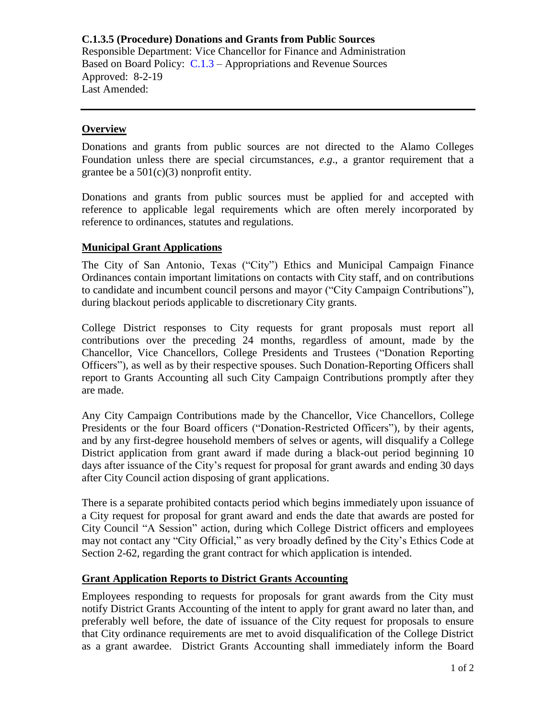**C.1.3.5 (Procedure) Donations and Grants from Public Sources** Responsible Department: Vice Chancellor for Finance and Administration Based on Board Policy: [C.1.3](https://www.alamo.edu/siteassets/district/about-us/leadership/board-of-trustees/policies-pdfs/section-c/c.1.3-policy.pdf) – Appropriations and Revenue Sources Approved: 8-2-19 Last Amended:

## **Overview**

Donations and grants from public sources are not directed to the Alamo Colleges Foundation unless there are special circumstances, *e.g*., a grantor requirement that a grantee be a  $501(c)(3)$  nonprofit entity.

Donations and grants from public sources must be applied for and accepted with reference to applicable legal requirements which are often merely incorporated by reference to ordinances, statutes and regulations.

## **Municipal Grant Applications**

The City of San Antonio, Texas ("City") Ethics and Municipal Campaign Finance Ordinances contain important limitations on contacts with City staff, and on contributions to candidate and incumbent council persons and mayor ("City Campaign Contributions"), during blackout periods applicable to discretionary City grants.

College District responses to City requests for grant proposals must report all contributions over the preceding 24 months, regardless of amount, made by the Chancellor, Vice Chancellors, College Presidents and Trustees ("Donation Reporting Officers"), as well as by their respective spouses. Such Donation-Reporting Officers shall report to Grants Accounting all such City Campaign Contributions promptly after they are made.

Any City Campaign Contributions made by the Chancellor, Vice Chancellors, College Presidents or the four Board officers ("Donation-Restricted Officers"), by their agents, and by any first-degree household members of selves or agents, will disqualify a College District application from grant award if made during a black-out period beginning 10 days after issuance of the City's request for proposal for grant awards and ending 30 days after City Council action disposing of grant applications.

There is a separate prohibited contacts period which begins immediately upon issuance of a City request for proposal for grant award and ends the date that awards are posted for City Council "A Session" action, during which College District officers and employees may not contact any "City Official," as very broadly defined by the City's Ethics Code at Section 2-62, regarding the grant contract for which application is intended.

## **Grant Application Reports to District Grants Accounting**

Employees responding to requests for proposals for grant awards from the City must notify District Grants Accounting of the intent to apply for grant award no later than, and preferably well before, the date of issuance of the City request for proposals to ensure that City ordinance requirements are met to avoid disqualification of the College District as a grant awardee. District Grants Accounting shall immediately inform the Board